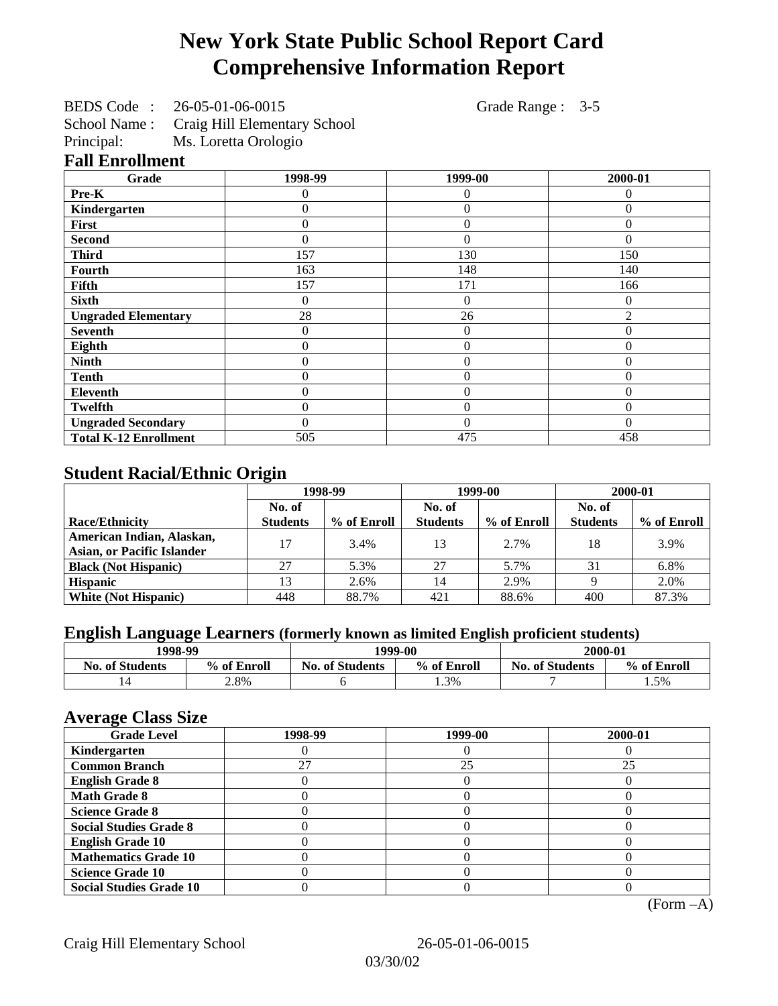# **New York State Public School Report Card Comprehensive Information Report**

|            | BEDS Code: 26-05-01-06-0015               |
|------------|-------------------------------------------|
|            | School Name: Craig Hill Elementary School |
| Principal: | Ms. Loretta Orologio                      |

Grade Range : 3-5

**Fall Enrollment**

| Grade                        | 1998-99  | 1999-00        | 2000-01        |
|------------------------------|----------|----------------|----------------|
| Pre-K                        | 0        | 0              | $\Omega$       |
| Kindergarten                 | 0        | $\Omega$       | $\Omega$       |
| First                        | 0        | $\theta$       | $\Omega$       |
| <b>Second</b>                | 0        | $\theta$       | $\Omega$       |
| <b>Third</b>                 | 157      | 130            | 150            |
| <b>Fourth</b>                | 163      | 148            | 140            |
| Fifth                        | 157      | 171            | 166            |
| <b>Sixth</b>                 | 0        | $\overline{0}$ | $\theta$       |
| <b>Ungraded Elementary</b>   | 28       | 26             | $\mathfrak{D}$ |
| <b>Seventh</b>               | 0        | $\theta$       | 0              |
| Eighth                       | 0        | $\overline{0}$ | $\theta$       |
| <b>Ninth</b>                 | 0        | $\overline{0}$ | 0              |
| <b>Tenth</b>                 | 0        | $\theta$       | $\Omega$       |
| Eleventh                     | $\theta$ | $\theta$       | $\Omega$       |
| <b>Twelfth</b>               | 0        | $\overline{0}$ | $\Omega$       |
| <b>Ungraded Secondary</b>    | 0        | $\theta$       | $\Omega$       |
| <b>Total K-12 Enrollment</b> | 505      | 475            | 458            |

## **Student Racial/Ethnic Origin**

|                                                                | 1998-99         |             | 1999-00         |             | 2000-01         |             |
|----------------------------------------------------------------|-----------------|-------------|-----------------|-------------|-----------------|-------------|
|                                                                | No. of          |             | No. of          |             | No. of          |             |
| <b>Race/Ethnicity</b>                                          | <b>Students</b> | % of Enroll | <b>Students</b> | % of Enroll | <b>Students</b> | % of Enroll |
| American Indian, Alaskan,<br><b>Asian, or Pacific Islander</b> | 17              | 3.4%        | 13              | 2.7%        | 18              | 3.9%        |
| <b>Black (Not Hispanic)</b>                                    | 27              | 5.3%        | 27              | 5.7%        | 31              | 6.8%        |
| <b>Hispanic</b>                                                | 13              | 2.6%        | 14              | 2.9%        |                 | 2.0%        |
| <b>White (Not Hispanic)</b>                                    | 448             | 88.7%       | 421             | 88.6%       | 400             | 87.3%       |

# **English Language Learners (formerly known as limited English proficient students)**

|                        | 1998-99     |                        | 1999-00     |                        | 2000-01     |
|------------------------|-------------|------------------------|-------------|------------------------|-------------|
| <b>No. of Students</b> | % of Enroll | <b>No. of Students</b> | % of Enroll | <b>No. of Students</b> | % of Enroll |
|                        | 2.8%        |                        | 1.3%        |                        | 1.5%        |

## **Average Class Size**

| $\overline{\phantom{a}}$<br><b>Grade Level</b> | 1998-99 | 1999-00 | 2000-01 |
|------------------------------------------------|---------|---------|---------|
| Kindergarten                                   |         |         |         |
| <b>Common Branch</b>                           | 27      | 25      | 25      |
| <b>English Grade 8</b>                         |         |         |         |
| <b>Math Grade 8</b>                            |         |         |         |
| <b>Science Grade 8</b>                         |         |         |         |
| <b>Social Studies Grade 8</b>                  |         |         |         |
| <b>English Grade 10</b>                        |         |         |         |
| <b>Mathematics Grade 10</b>                    |         |         |         |
| <b>Science Grade 10</b>                        |         |         |         |
| <b>Social Studies Grade 10</b>                 |         |         |         |

(Form –A)